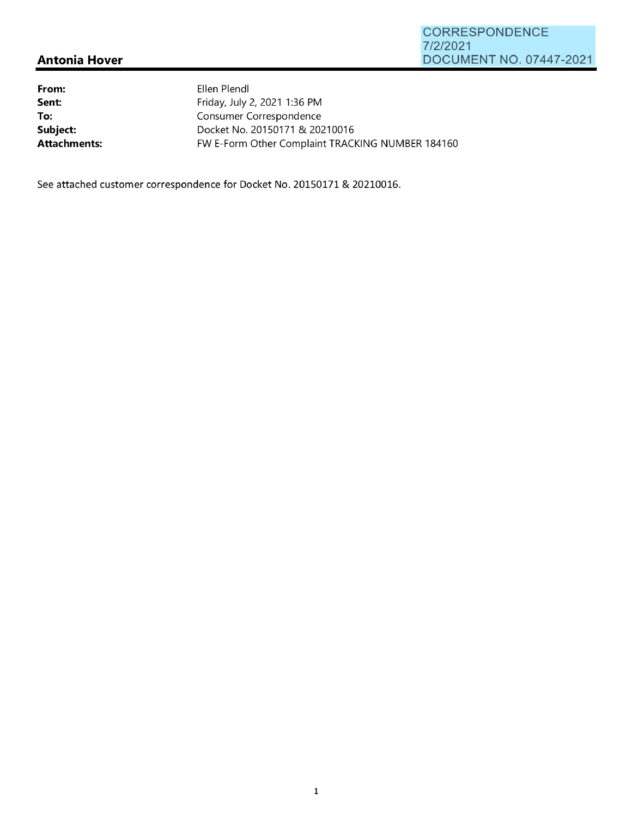## **Antonia Hover**

| From:        | Ellen Plendl                                     |
|--------------|--------------------------------------------------|
| Sent:        | Friday, July 2, 2021 1:36 PM                     |
| To:          | Consumer Correspondence                          |
| Subject:     | Docket No. 20150171 & 20210016                   |
| Attachments: | FW E-Form Other Complaint TRACKING NUMBER 184160 |

See attached customer correspondence for Docket No. 20150171 & 20210016.